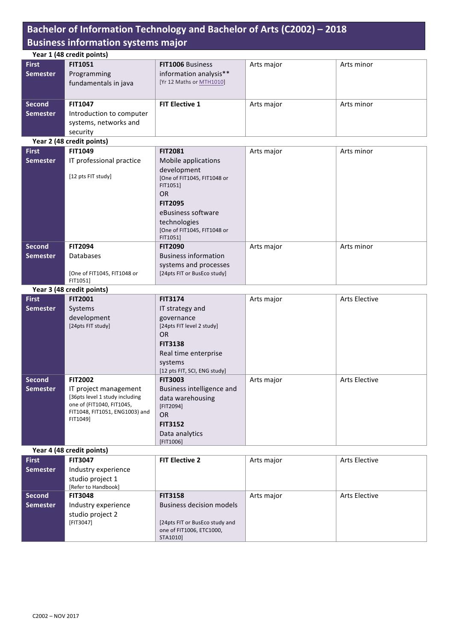## Bachelor of Information Technology and Bachelor of Arts (C2002) - 2018 **Business information systems major**

|                 | Year 1 (48 credit points)                  |                                         |            |                      |  |
|-----------------|--------------------------------------------|-----------------------------------------|------------|----------------------|--|
| <b>First</b>    | <b>FIT1051</b>                             | FIT1006 Business                        | Arts major | Arts minor           |  |
| <b>Semester</b> | Programming                                | information analysis**                  |            |                      |  |
|                 | fundamentals in java                       | [Yr 12 Maths or MTH1010]                |            |                      |  |
|                 |                                            |                                         |            |                      |  |
| <b>Second</b>   | <b>FIT1047</b>                             | <b>FIT Elective 1</b>                   | Arts major | Arts minor           |  |
| <b>Semester</b> | Introduction to computer                   |                                         |            |                      |  |
|                 | systems, networks and                      |                                         |            |                      |  |
|                 | security                                   |                                         |            |                      |  |
|                 | Year 2 (48 credit points)                  |                                         |            |                      |  |
| <b>First</b>    | <b>FIT1049</b>                             | <b>FIT2081</b>                          | Arts major | Arts minor           |  |
| <b>Semester</b> | IT professional practice                   | Mobile applications                     |            |                      |  |
|                 |                                            | development                             |            |                      |  |
|                 | [12 pts FIT study]                         | [One of FIT1045, FIT1048 or             |            |                      |  |
|                 |                                            | FIT1051]<br>OR                          |            |                      |  |
|                 |                                            | <b>FIT2095</b>                          |            |                      |  |
|                 |                                            | eBusiness software                      |            |                      |  |
|                 |                                            | technologies                            |            |                      |  |
|                 |                                            | [One of FIT1045, FIT1048 or             |            |                      |  |
|                 |                                            | FIT1051]                                |            |                      |  |
| <b>Second</b>   | <b>FIT2094</b>                             | <b>FIT2090</b>                          | Arts major | Arts minor           |  |
| <b>Semester</b> | <b>Databases</b>                           | <b>Business information</b>             |            |                      |  |
|                 |                                            | systems and processes                   |            |                      |  |
|                 | [One of FIT1045, FIT1048 or<br>FIT1051]    | [24pts FIT or BusEco study]             |            |                      |  |
|                 | Year 3 (48 credit points)                  |                                         |            |                      |  |
| <b>First</b>    | <b>FIT2001</b>                             | <b>FIT3174</b>                          | Arts major | <b>Arts Elective</b> |  |
| <b>Semester</b> | Systems                                    | IT strategy and                         |            |                      |  |
|                 | development                                | governance                              |            |                      |  |
|                 | [24pts FIT study]                          | [24pts FIT level 2 study]               |            |                      |  |
|                 |                                            | <b>OR</b>                               |            |                      |  |
|                 |                                            | <b>FIT3138</b>                          |            |                      |  |
|                 |                                            | Real time enterprise                    |            |                      |  |
|                 |                                            | systems<br>[12 pts FIT, SCI, ENG study] |            |                      |  |
| <b>Second</b>   | <b>FIT2002</b>                             | <b>FIT3003</b>                          | Arts major | <b>Arts Elective</b> |  |
| <b>Semester</b> | IT project management                      | Business intelligence and               |            |                      |  |
|                 | [36pts level 1 study including             | data warehousing                        |            |                      |  |
|                 | one of (FIT1040, FIT1045,                  | [FIT2094]                               |            |                      |  |
|                 | FIT1048, FIT1051, ENG1003) and<br>FIT1049] | <b>OR</b>                               |            |                      |  |
|                 |                                            | <b>FIT3152</b>                          |            |                      |  |
|                 |                                            | Data analytics                          |            |                      |  |
|                 |                                            | [FIT1006]                               |            |                      |  |
|                 | Year 4 (48 credit points)<br>FIT3047       |                                         |            |                      |  |
| <b>First</b>    |                                            | <b>FIT Elective 2</b>                   | Arts major | Arts Elective        |  |

| <b>FILST</b>    | FI1304/             | <b>FILERCTIVE Z</b>             | <b>Arts major</b> | Arts Elective        |
|-----------------|---------------------|---------------------------------|-------------------|----------------------|
| <b>Semester</b> | Industry experience |                                 |                   |                      |
|                 | studio project 1    |                                 |                   |                      |
|                 | [Refer to Handbook] |                                 |                   |                      |
| <b>Second</b>   | <b>FIT3048</b>      | <b>FIT3158</b>                  | Arts major        | <b>Arts Elective</b> |
| <b>Semester</b> | Industry experience | <b>Business decision models</b> |                   |                      |
|                 | studio project 2    |                                 |                   |                      |
|                 | [FIT3047]           | [24pts FIT or BusEco study and  |                   |                      |
|                 |                     | one of FIT1006, ETC1000,        |                   |                      |
|                 |                     | STA1010]                        |                   |                      |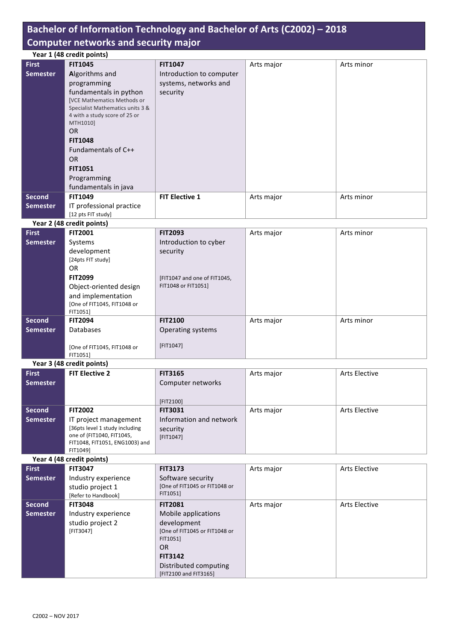## Bachelor of Information Technology and Bachelor of Arts (C2002) - 2018 **Computer networks and security major**

|                 | Year 1 (48 credit points)          |                          |            |            |  |
|-----------------|------------------------------------|--------------------------|------------|------------|--|
| <b>First</b>    | <b>FIT1045</b>                     | <b>FIT1047</b>           | Arts major | Arts minor |  |
| <b>Semester</b> | Algorithms and                     | Introduction to computer |            |            |  |
|                 | programming                        | systems, networks and    |            |            |  |
|                 | fundamentals in python             | security                 |            |            |  |
|                 | <b>[VCE Mathematics Methods or</b> |                          |            |            |  |
|                 | Specialist Mathematics units 3 &   |                          |            |            |  |
|                 | 4 with a study score of 25 or      |                          |            |            |  |
|                 | MTH1010]                           |                          |            |            |  |
|                 | <b>OR</b>                          |                          |            |            |  |
|                 | <b>FIT1048</b>                     |                          |            |            |  |
|                 | Fundamentals of C++                |                          |            |            |  |
|                 | OR.                                |                          |            |            |  |
|                 | <b>FIT1051</b>                     |                          |            |            |  |
|                 | Programming                        |                          |            |            |  |
|                 | fundamentals in java               |                          |            |            |  |
| <b>Second</b>   | <b>FIT1049</b>                     | <b>FIT Elective 1</b>    | Arts major | Arts minor |  |
| <b>Semester</b> | IT professional practice           |                          |            |            |  |
|                 | [12 pts FIT study]                 |                          |            |            |  |

**Year 2 (48 credit points)**

| $1$ car $E$ ( $T$ crears points)        |                              |            |            |
|-----------------------------------------|------------------------------|------------|------------|
| <b>FIT2001</b>                          | <b>FIT2093</b>               | Arts major | Arts minor |
| Systems                                 | Introduction to cyber        |            |            |
| development                             | security                     |            |            |
| [24pts FIT study]                       |                              |            |            |
| 0R                                      |                              |            |            |
| <b>FIT2099</b>                          | [FIT1047 and one of FIT1045, |            |            |
| Object-oriented design                  | FIT1048 or FIT1051]          |            |            |
| and implementation                      |                              |            |            |
| [One of FIT1045, FIT1048 or             |                              |            |            |
|                                         |                              |            |            |
| <b>FIT2094</b>                          | <b>FIT2100</b>               | Arts major | Arts minor |
| Databases                               | Operating systems            |            |            |
|                                         |                              |            |            |
| [One of FIT1045, FIT1048 or<br>FIT1051] | [FIT1047]                    |            |            |
|                                         | FIT1051]                     |            |            |

Year 3 (48 credit points)

| <b>First</b>    | <b>FIT Elective 2</b>           | <b>FIT3165</b>          | Arts major | Arts Elective |
|-----------------|---------------------------------|-------------------------|------------|---------------|
| <b>Semester</b> |                                 | Computer networks       |            |               |
|                 |                                 |                         |            |               |
|                 |                                 | [FIT2100]               |            |               |
| <b>Second</b>   | <b>FIT2002</b>                  | <b>FIT3031</b>          | Arts major | Arts Elective |
| <b>Semester</b> | IT project management           | Information and network |            |               |
|                 | [36pts level 1 study including] | security                |            |               |
|                 | one of (FIT1040, FIT1045,       | [FIT1047]               |            |               |
|                 | FIT1048, FIT1051, ENG1003) and  |                         |            |               |
|                 | FIT1049]                        |                         |            |               |

Year 4 (48 credit points)

| <b>First</b>    | <b>FIT3047</b>      | <b>FIT3173</b>                            | Arts major | <b>Arts Elective</b> |
|-----------------|---------------------|-------------------------------------------|------------|----------------------|
| <b>Semester</b> | Industry experience | Software security                         |            |                      |
|                 | studio project 1    | [One of FIT1045 or FIT1048 or             |            |                      |
|                 | [Refer to Handbook] | FIT1051]                                  |            |                      |
| <b>Second</b>   | <b>FIT3048</b>      | <b>FIT2081</b>                            | Arts major | <b>Arts Elective</b> |
| <b>Semester</b> | Industry experience | Mobile applications                       |            |                      |
|                 | studio project 2    | development                               |            |                      |
|                 | [FIT3047]           | [One of FIT1045 or FIT1048 or<br>FIT1051] |            |                      |
|                 |                     | OR.                                       |            |                      |
|                 |                     | <b>FIT3142</b>                            |            |                      |
|                 |                     |                                           |            |                      |
|                 |                     | Distributed computing                     |            |                      |
|                 |                     | [FIT2100 and FIT3165]                     |            |                      |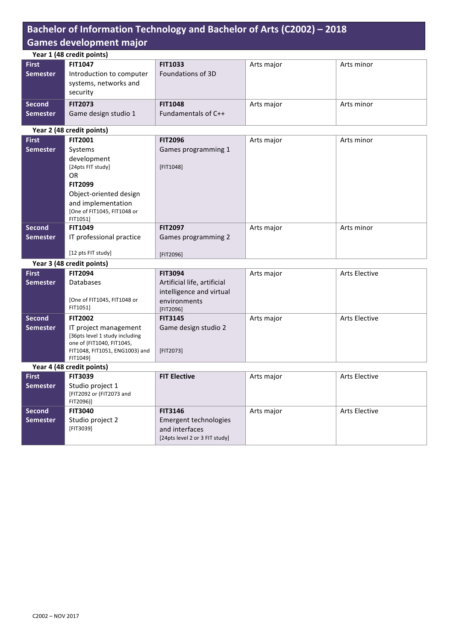# Bachelor of Information Technology and Bachelor of Arts (C2002) - 2018 Games development major

|                           | Year 1 (48 credit points)                                     |                     |            |            |  |
|---------------------------|---------------------------------------------------------------|---------------------|------------|------------|--|
| <b>First</b>              | <b>FIT1047</b>                                                | <b>FIT1033</b>      | Arts major | Arts minor |  |
| <b>Semester</b>           | Introduction to computer<br>systems, networks and<br>security | Foundations of 3D   |            |            |  |
| <b>Second</b>             | <b>FIT2073</b>                                                | <b>FIT1048</b>      | Arts major | Arts minor |  |
| <b>Semester</b>           | Game design studio 1                                          | Fundamentals of C++ |            |            |  |
| Vaar 2 (48 cradit noints) |                                                               |                     |            |            |  |

|                 | rear 2 (48 credit points)   |                     |            |            |  |
|-----------------|-----------------------------|---------------------|------------|------------|--|
| <b>First</b>    | <b>FIT2001</b>              | <b>FIT2096</b>      | Arts major | Arts minor |  |
| <b>Semester</b> | Systems                     | Games programming 1 |            |            |  |
|                 | development                 |                     |            |            |  |
|                 | [24pts FIT study]           | [FIT1048]           |            |            |  |
|                 | 0R                          |                     |            |            |  |
|                 | <b>FIT2099</b>              |                     |            |            |  |
|                 | Object-oriented design      |                     |            |            |  |
|                 | and implementation          |                     |            |            |  |
|                 | [One of FIT1045, FIT1048 or |                     |            |            |  |
|                 | FIT1051]                    |                     |            |            |  |
| <b>Second</b>   | <b>FIT1049</b>              | <b>FIT2097</b>      | Arts major | Arts minor |  |
| <b>Semester</b> | IT professional practice    | Games programming 2 |            |            |  |
|                 |                             |                     |            |            |  |
|                 | [12 pts FIT study]          | [FIT2096]           |            |            |  |

**Year 3 (48 credit points)**

| <b>First</b>    | <b>FIT2094</b>                 | <b>FIT3094</b>              | Arts major | <b>Arts Elective</b> |
|-----------------|--------------------------------|-----------------------------|------------|----------------------|
| <b>Semester</b> | <b>Databases</b>               | Artificial life, artificial |            |                      |
|                 |                                | intelligence and virtual    |            |                      |
|                 | [One of FIT1045, FIT1048 or    | environments                |            |                      |
|                 | FIT1051]                       | [FIT2096]                   |            |                      |
| <b>Second</b>   | <b>FIT2002</b>                 | <b>FIT3145</b>              | Arts major | <b>Arts Elective</b> |
| <b>Semester</b> | IT project management          | Game design studio 2        |            |                      |
|                 | [36pts level 1 study including |                             |            |                      |
|                 | one of (FIT1040, FIT1045,      |                             |            |                      |
|                 | FIT1048, FIT1051, ENG1003) and | [FIT2073]                   |            |                      |
|                 | FIT1049]                       |                             |            |                      |

Year 4 (48 credit points)

| <b>First</b>    | <b>FIT3039</b>                               | <b>FIT Elective</b>            | Arts major | <b>Arts Elective</b> |
|-----------------|----------------------------------------------|--------------------------------|------------|----------------------|
| <b>Semester</b> | Studio project 1<br>[FIT2092 or (FIT2073 and |                                |            |                      |
|                 | FIT2096)]                                    |                                |            |                      |
| <b>Second</b>   | <b>FIT3040</b>                               | <b>FIT3146</b>                 | Arts major | <b>Arts Elective</b> |
| <b>Semester</b> | Studio project 2                             | Emergent technologies          |            |                      |
|                 | [FIT3039]                                    | and interfaces                 |            |                      |
|                 |                                              | [24pts level 2 or 3 FIT study] |            |                      |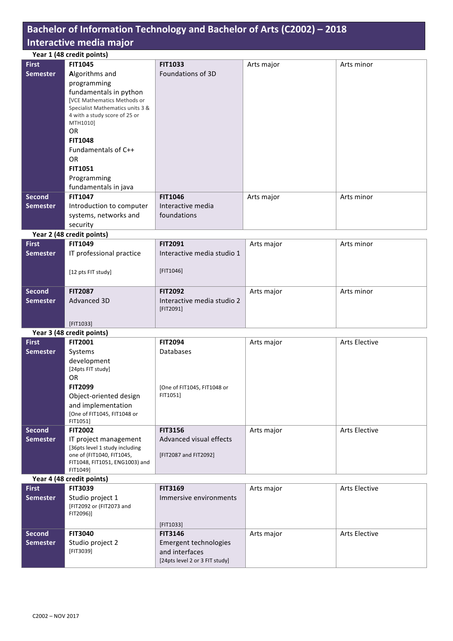# Bachelor of Information Technology and Bachelor of Arts (C2002) - 2018 **Interactive media major**

|                 | Year 1 (48 credit points)                 |                   |                                                             |                             |
|-----------------|-------------------------------------------|-------------------|-------------------------------------------------------------|-----------------------------|
| <b>First</b>    | <b>FIT1045</b>                            | <b>FIT1033</b>    | Arts major                                                  | Arts minor                  |
| <b>Semester</b> | Algorithms and                            | Foundations of 3D |                                                             |                             |
|                 | programming                               |                   |                                                             |                             |
|                 | fundamentals in python                    |                   |                                                             |                             |
|                 | <b>[VCE Mathematics Methods or</b>        |                   |                                                             |                             |
|                 | Specialist Mathematics units 3 &          |                   |                                                             |                             |
|                 | 4 with a study score of 25 or<br>MTH1010] |                   |                                                             |                             |
|                 | <b>OR</b>                                 |                   |                                                             |                             |
|                 | <b>FIT1048</b>                            |                   |                                                             |                             |
|                 | Fundamentals of C++                       |                   |                                                             |                             |
|                 | <b>OR</b>                                 |                   |                                                             |                             |
|                 | <b>FIT1051</b>                            |                   |                                                             |                             |
|                 | Programming                               |                   |                                                             |                             |
|                 | fundamentals in java                      |                   |                                                             |                             |
| <b>Second</b>   | <b>FIT1047</b>                            | <b>FIT1046</b>    | Arts major                                                  | Arts minor                  |
| <b>Semester</b> | Introduction to computer                  | Interactive media |                                                             |                             |
|                 | systems, networks and                     | foundations       |                                                             |                             |
|                 | security                                  |                   |                                                             |                             |
|                 | Year 2 (48 credit points)                 |                   |                                                             |                             |
| <b>Pinney</b>   | FIT4040                                   | <b>FITSOO4</b>    | $A \rightarrow A \rightarrow A \rightarrow B \rightarrow C$ | $A$ and $A$ and $B$ and $B$ |

| <b>First</b><br><b>Semester</b> | <b>FIT1049</b><br>IT professional practice<br>[12 pts FIT study] | <b>FIT2091</b><br>Interactive media studio 1<br>[FIT1046] | Arts major | Arts minor |
|---------------------------------|------------------------------------------------------------------|-----------------------------------------------------------|------------|------------|
| <b>Second</b>                   | <b>FIT2087</b>                                                   | <b>FIT2092</b>                                            | Arts major | Arts minor |
| <b>Semester</b>                 | Advanced 3D                                                      | Interactive media studio 2<br>[FIT2091]                   |            |            |
|                                 | [FIT1033]                                                        |                                                           |            |            |

|                 | Year 3 (48 credit points)      |                             |            |                      |
|-----------------|--------------------------------|-----------------------------|------------|----------------------|
| <b>First</b>    | <b>FIT2001</b>                 | <b>FIT2094</b>              | Arts major | <b>Arts Elective</b> |
| <b>Semester</b> | Systems                        | <b>Databases</b>            |            |                      |
|                 | development                    |                             |            |                      |
|                 | [24pts FIT study]              |                             |            |                      |
|                 | 0R                             |                             |            |                      |
|                 | <b>FIT2099</b>                 | [One of FIT1045, FIT1048 or |            |                      |
|                 | Object-oriented design         | FIT1051]                    |            |                      |
|                 | and implementation             |                             |            |                      |
|                 | [One of FIT1045, FIT1048 or    |                             |            |                      |
|                 | FIT1051]                       |                             |            |                      |
| <b>Second</b>   | <b>FIT2002</b>                 | <b>FIT3156</b>              | Arts major | <b>Arts Elective</b> |
| <b>Semester</b> | IT project management          | Advanced visual effects     |            |                      |
|                 | [36pts level 1 study including |                             |            |                      |
|                 | one of (FIT1040, FIT1045,      | [FIT2087 and FIT2092]       |            |                      |
|                 | FIT1048, FIT1051, ENG1003) and |                             |            |                      |
|                 | FIT1049]                       |                             |            |                      |

Year 4 (48 credit points)

| <b>First</b>    | <b>FIT3039</b>                                            | <b>FIT3169</b>                                                            | Arts major | Arts Elective |
|-----------------|-----------------------------------------------------------|---------------------------------------------------------------------------|------------|---------------|
| <b>Semester</b> | Studio project 1<br>[FIT2092 or (FIT2073 and<br>FIT2096)] | Immersive environments                                                    |            |               |
|                 |                                                           | [FIT1033]                                                                 |            |               |
| Second          | <b>FIT3040</b>                                            | <b>FIT3146</b>                                                            | Arts major | Arts Elective |
| <b>Semester</b> | Studio project 2<br>[FIT3039]                             | Emergent technologies<br>and interfaces<br>[24pts level 2 or 3 FIT study] |            |               |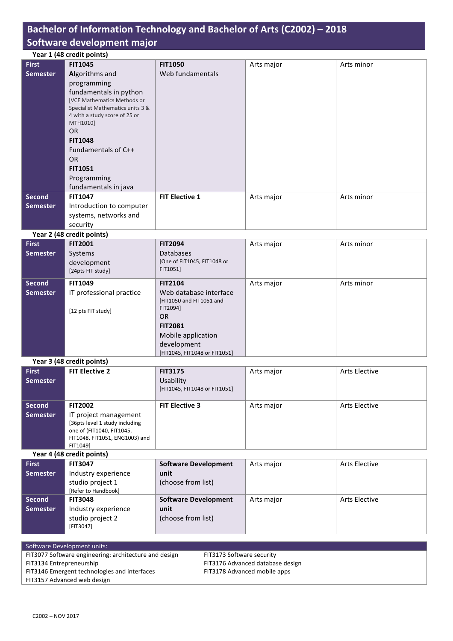### Bachelor of Information Technology and Bachelor of Arts (C2002) - 2018 **Software development major**

| Year 1 (48 credit points) |                                    |                       |            |            |
|---------------------------|------------------------------------|-----------------------|------------|------------|
| <b>First</b>              | <b>FIT1045</b>                     | <b>FIT1050</b>        | Arts major | Arts minor |
| <b>Semester</b>           | Algorithms and                     | Web fundamentals      |            |            |
|                           | programming                        |                       |            |            |
|                           | fundamentals in python             |                       |            |            |
|                           | <b>[VCE Mathematics Methods or</b> |                       |            |            |
|                           | Specialist Mathematics units 3 &   |                       |            |            |
|                           | 4 with a study score of 25 or      |                       |            |            |
|                           | MTH1010]                           |                       |            |            |
|                           | <b>OR</b>                          |                       |            |            |
|                           | <b>FIT1048</b>                     |                       |            |            |
|                           | Fundamentals of C++                |                       |            |            |
|                           | OR.                                |                       |            |            |
|                           | <b>FIT1051</b>                     |                       |            |            |
|                           | Programming                        |                       |            |            |
|                           | fundamentals in java               |                       |            |            |
| <b>Second</b>             | <b>FIT1047</b>                     | <b>FIT Elective 1</b> | Arts major | Arts minor |
| <b>Semester</b>           | Introduction to computer           |                       |            |            |
|                           | systems, networks and              |                       |            |            |
|                           | security                           |                       |            |            |

#### **Year 2 (48 credit points)**

| <b>First</b>    | <b>FIT2001</b>           | <b>FIT2094</b>                       | Arts major | Arts minor |
|-----------------|--------------------------|--------------------------------------|------------|------------|
| <b>Semester</b> | Systems                  | <b>Databases</b>                     |            |            |
|                 | development              | [One of FIT1045, FIT1048 or          |            |            |
|                 | [24pts FIT study]        | FIT1051]                             |            |            |
| <b>Second</b>   | <b>FIT1049</b>           | <b>FIT2104</b>                       | Arts major | Arts minor |
| <b>Semester</b> | IT professional practice | Web database interface               |            |            |
|                 | [12 pts FIT study]       | [FIT1050 and FIT1051 and<br>FIT2094] |            |            |
|                 |                          | OR.                                  |            |            |
|                 |                          | <b>FIT2081</b>                       |            |            |
|                 |                          | Mobile application                   |            |            |
|                 |                          | development                          |            |            |
|                 |                          | [FIT1045, FIT1048 or FIT1051]        |            |            |

### **Year 3 (48 credit points)**

| <b>First</b>              | <b>FIT Elective 2</b>          | <b>FIT3175</b>                | Arts major | <b>Arts Elective</b> |
|---------------------------|--------------------------------|-------------------------------|------------|----------------------|
| <b>Semester</b>           |                                | Usability                     |            |                      |
|                           |                                | [FIT1045, FIT1048 or FIT1051] |            |                      |
|                           |                                |                               |            |                      |
| <b>Second</b>             | <b>FIT2002</b>                 | <b>FIT Elective 3</b>         | Arts major | <b>Arts Elective</b> |
| <b>Semester</b>           | IT project management          |                               |            |                      |
|                           | [36pts level 1 study including |                               |            |                      |
|                           | one of (FIT1040, FIT1045,      |                               |            |                      |
|                           | FIT1048, FIT1051, ENG1003) and |                               |            |                      |
|                           | FIT1049]                       |                               |            |                      |
| Year 4 (48 credit points) |                                |                               |            |                      |

**First Semester FIT3047** Industry experience studio project 1 [Refer to Handbook] **Software Development unit** (choose from list) Arts major <br>Arts Elective **Second Semester FIT3048** Industry experience studio project 2 [FIT3047] **Software Development unit** (choose from list) Arts major | Arts Elective

Software Development units: FIT3077 Software engineering: architecture and design FIT3134 Entrepreneurship FIT3146 Emergent technologies and interfaces

FIT3173 Software security FIT3176 Advanced database design FIT3178 Advanced mobile apps

FIT3157 Advanced web design